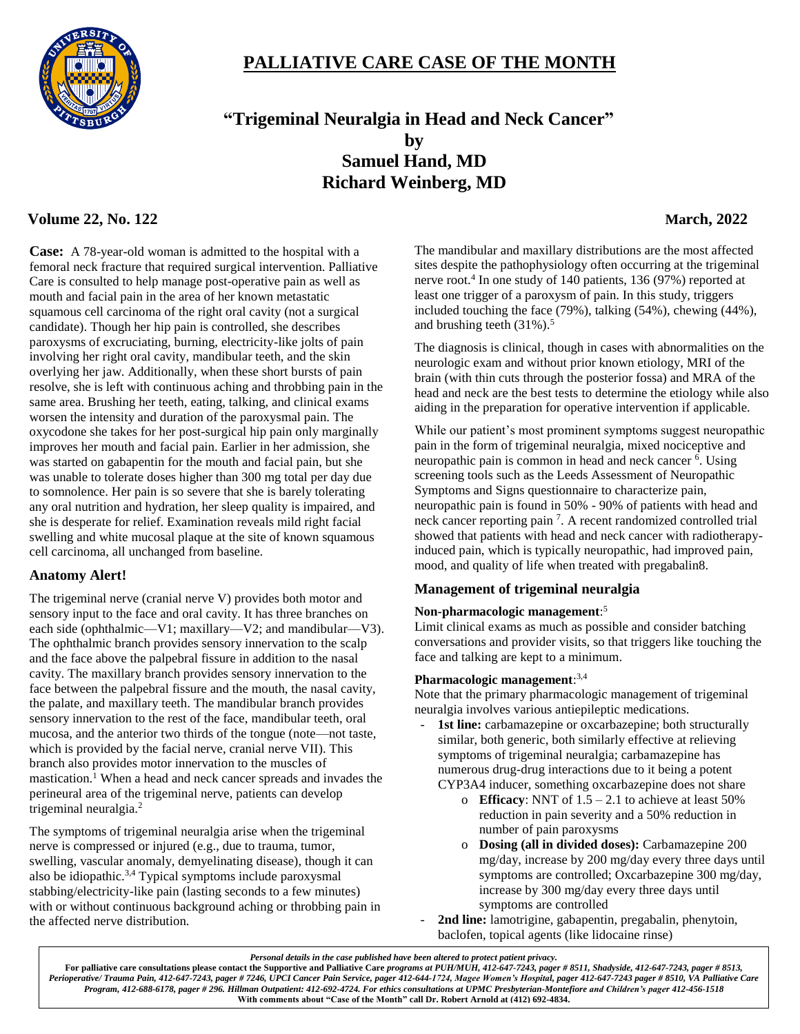

# **PALLIATIVE CARE CASE OF THE MONTH**

 **"Trigeminal Neuralgia in Head and Neck Cancer" by Samuel Hand, MD Richard Weinberg, MD**

# **Volume 22, No. 122 March, 2022**

**Case:** A 78-year-old woman is admitted to the hospital with a femoral neck fracture that required surgical intervention. Palliative Care is consulted to help manage post-operative pain as well as mouth and facial pain in the area of her known metastatic squamous cell carcinoma of the right oral cavity (not a surgical candidate). Though her hip pain is controlled, she describes paroxysms of excruciating, burning, electricity-like jolts of pain involving her right oral cavity, mandibular teeth, and the skin overlying her jaw. Additionally, when these short bursts of pain resolve, she is left with continuous aching and throbbing pain in the same area. Brushing her teeth, eating, talking, and clinical exams worsen the intensity and duration of the paroxysmal pain. The oxycodone she takes for her post-surgical hip pain only marginally improves her mouth and facial pain. Earlier in her admission, she was started on gabapentin for the mouth and facial pain, but she was unable to tolerate doses higher than 300 mg total per day due to somnolence. Her pain is so severe that she is barely tolerating any oral nutrition and hydration, her sleep quality is impaired, and she is desperate for relief. Examination reveals mild right facial swelling and white mucosal plaque at the site of known squamous cell carcinoma, all unchanged from baseline.

### **Anatomy Alert!**

The trigeminal nerve (cranial nerve V) provides both motor and sensory input to the face and oral cavity. It has three branches on each side (ophthalmic—V1; maxillary—V2; and mandibular—V3). The ophthalmic branch provides sensory innervation to the scalp and the face above the palpebral fissure in addition to the nasal cavity. The maxillary branch provides sensory innervation to the face between the palpebral fissure and the mouth, the nasal cavity, the palate, and maxillary teeth. The mandibular branch provides sensory innervation to the rest of the face, mandibular teeth, oral mucosa, and the anterior two thirds of the tongue (note—not taste, which is provided by the facial nerve, cranial nerve VII). This branch also provides motor innervation to the muscles of mastication.<sup>1</sup> When a head and neck cancer spreads and invades the perineural area of the trigeminal nerve, patients can develop trigeminal neuralgia.<sup>2</sup>

The symptoms of trigeminal neuralgia arise when the trigeminal nerve is compressed or injured (e.g., due to trauma, tumor, swelling, vascular anomaly, demyelinating disease), though it can also be idiopathic. $3,4$  Typical symptoms include paroxysmal stabbing/electricity-like pain (lasting seconds to a few minutes) with or without continuous background aching or throbbing pain in the affected nerve distribution.

The mandibular and maxillary distributions are the most affected sites despite the pathophysiology often occurring at the trigeminal nerve root.<sup>4</sup> In one study of 140 patients, 136 (97%) reported at least one trigger of a paroxysm of pain. In this study, triggers included touching the face (79%), talking (54%), chewing (44%), and brushing teeth  $(31\%)$ .<sup>5</sup>

The diagnosis is clinical, though in cases with abnormalities on the neurologic exam and without prior known etiology, MRI of the brain (with thin cuts through the posterior fossa) and MRA of the head and neck are the best tests to determine the etiology while also aiding in the preparation for operative intervention if applicable.

While our patient's most prominent symptoms suggest neuropathic pain in the form of trigeminal neuralgia, mixed nociceptive and neuropathic pain is common in head and neck cancer <sup>6</sup>. Using screening tools such as the Leeds Assessment of Neuropathic Symptoms and Signs questionnaire to characterize pain, neuropathic pain is found in 50% - 90% of patients with head and neck cancer reporting pain<sup>7</sup>. A recent randomized controlled trial showed that patients with head and neck cancer with radiotherapyinduced pain, which is typically neuropathic, had improved pain, mood, and quality of life when treated with pregabalin8.

# **Management of trigeminal neuralgia**

### **Non-pharmacologic management**: 5

Limit clinical exams as much as possible and consider batching conversations and provider visits, so that triggers like touching the face and talking are kept to a minimum.

### **Pharmacologic management**: 3,4

Note that the primary pharmacologic management of trigeminal neuralgia involves various antiepileptic medications.

- 1st line: carbamazepine or oxcarbazepine; both structurally similar, both generic, both similarly effective at relieving symptoms of trigeminal neuralgia; carbamazepine has numerous drug-drug interactions due to it being a potent CYP3A4 inducer, something oxcarbazepine does not share
	- o **Efficacy**: NNT of  $1.5 2.1$  to achieve at least 50% reduction in pain severity and a 50% reduction in number of pain paroxysms
	- o **Dosing (all in divided doses):** Carbamazepine 200 mg/day, increase by 200 mg/day every three days until symptoms are controlled; Oxcarbazepine 300 mg/day, increase by 300 mg/day every three days until symptoms are controlled
- 2nd line: lamotrigine, gabapentin, pregabalin, phenytoin, baclofen, topical agents (like lidocaine rinse)

*Personal details in the case published have been altered to protect patient privacy.*

**For palliative care consultations please contact the Supportive and Palliative Care** *programs at PUH/MUH, 412-647-7243, pager # 8511, Shadyside, 412-647-7243, pager # 8513, Perioperative/ Trauma Pain, 412-647-7243, pager # 7246, UPCI Cancer Pain Service, pager 412-644-1724, Magee Women's Hospital, pager 412-647-7243 pager # 8510, VA Palliative Care Program, 412-688-6178, pager # 296. Hillman Outpatient: 412-692-4724. For ethics consultations at UPMC Presbyterian-Montefiore and Children's pager 412-456-1518* **With comments about "Case of the Month" call Dr. Robert Arnold at (412) 692-4834.**